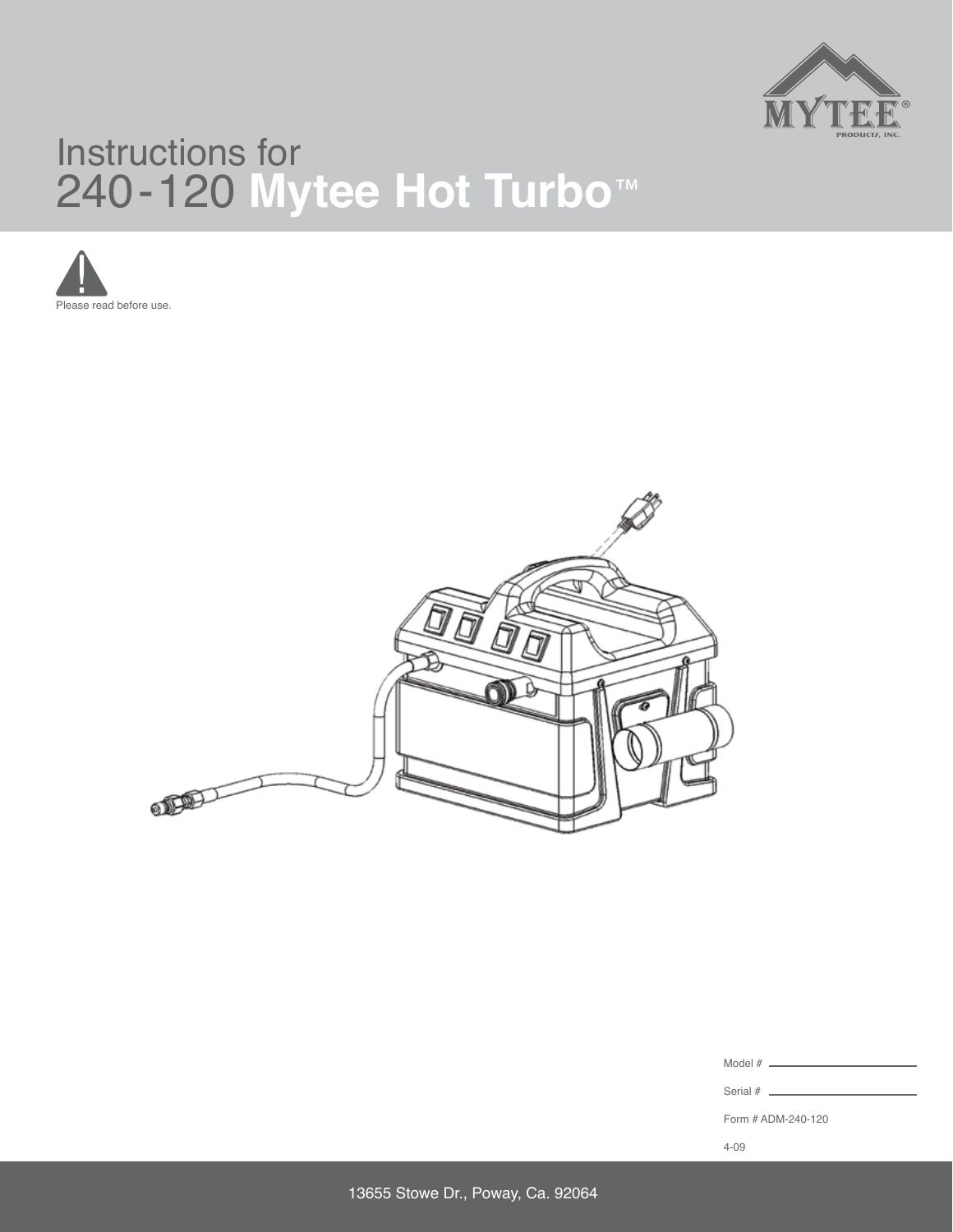

# Instructions for 240-120 **Mytee Hot Turbo**™





Model #  $-$ 

Serial #  $\phantom{0}$ 

Form # ADM-240-120

4-09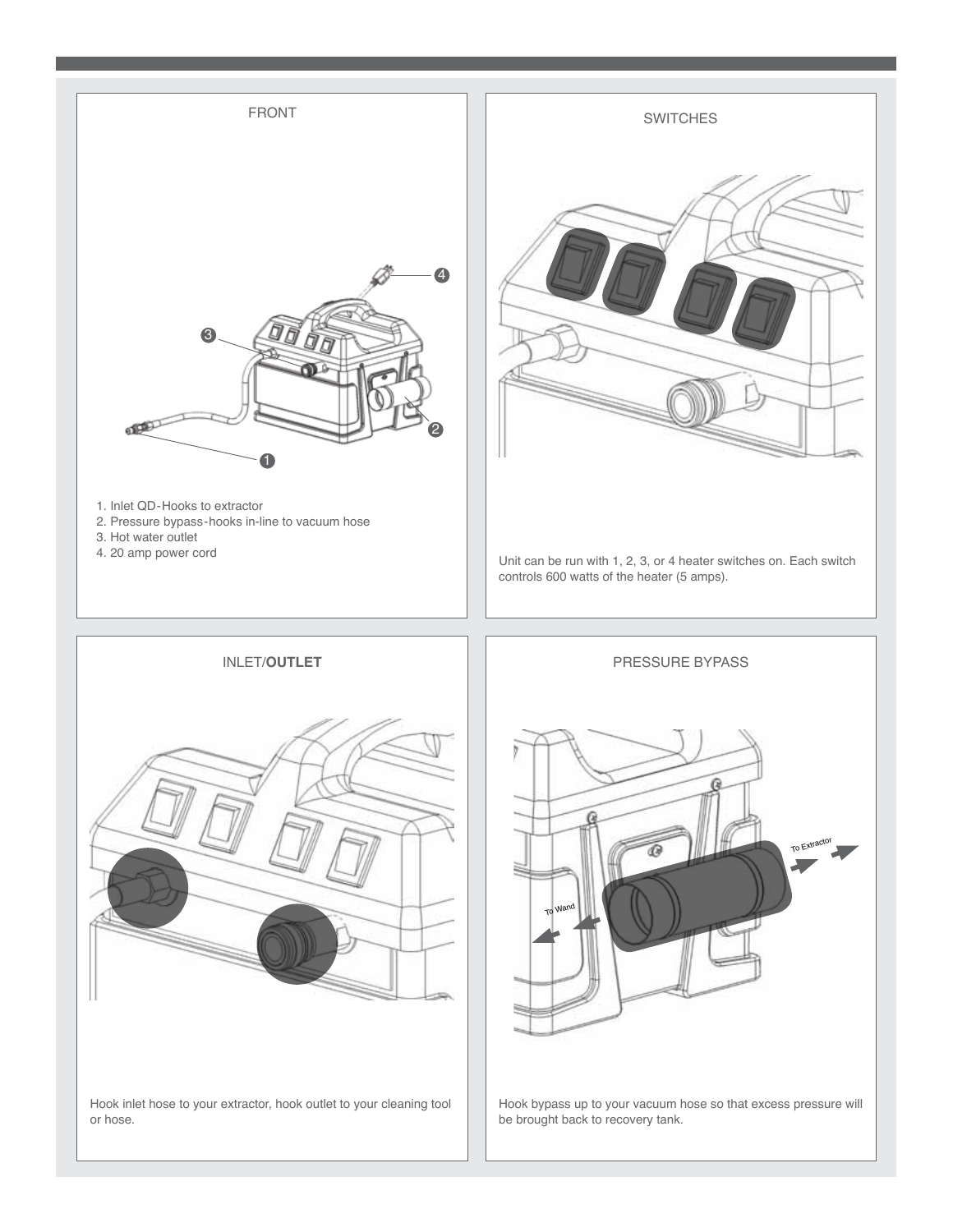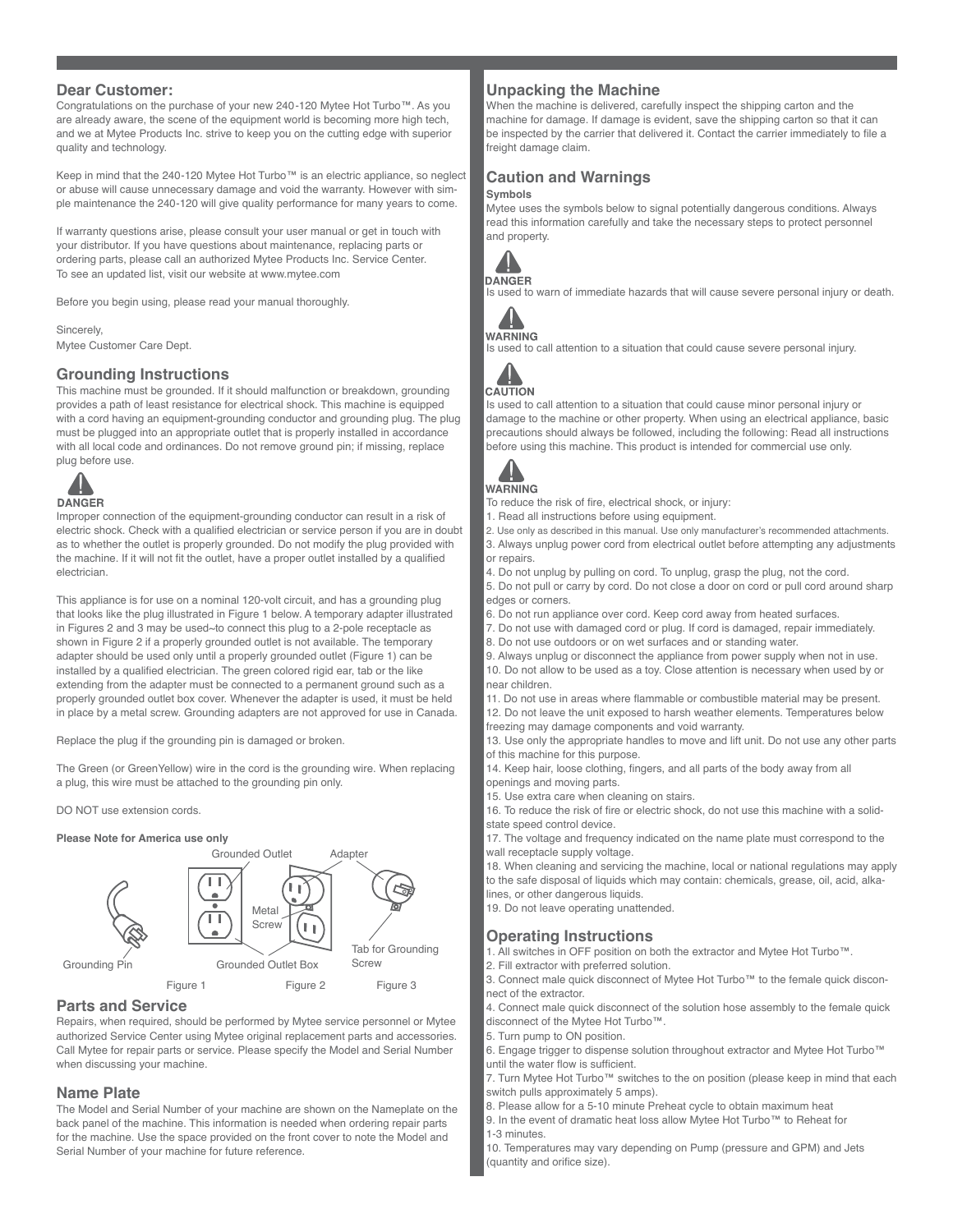#### **Dear Customer:**

Congratulations on the purchase of your new 240-120 Mytee Hot Turbo™. As you are already aware, the scene of the equipment world is becoming more high tech, and we at Mytee Products Inc. strive to keep you on the cutting edge with superior quality and technology.

Keep in mind that the 240-120 Mytee Hot Turbo™ is an electric appliance, so neglect or abuse will cause unnecessary damage and void the warranty. However with simple maintenance the 240-120 will give quality performance for many years to come.

If warranty questions arise, please consult your user manual or get in touch with your distributor. If you have questions about maintenance, replacing parts or ordering parts, please call an authorized Mytee Products Inc. Service Center. To see an updated list, visit our website at www.mytee.com

Before you begin using, please read your manual thoroughly.

Sincerely, Mytee Customer Care Dept.

#### **Grounding Instructions**

This machine must be grounded. If it should malfunction or breakdown, grounding provides a path of least resistance for electrical shock. This machine is equipped with a cord having an equipment-grounding conductor and grounding plug. The plug must be plugged into an appropriate outlet that is properly installed in accordance with all local code and ordinances. Do not remove ground pin; if missing, replace plug before use.



Improper connection of the equipment-grounding conductor can result in a risk of electric shock. Check with a qualified electrician or service person if you are in doubt as to whether the outlet is properly grounded. Do not modify the plug provided with the machine. If it will not fit the outlet, have a proper outlet installed by a qualified electrician.

This appliance is for use on a nominal 120-volt circuit, and has a grounding plug that looks like the plug illustrated in Figure 1 below. A temporary adapter illustrated in Figures 2 and 3 may be used~to connect this plug to a 2-pole receptacle as shown in Figure 2 if a properly grounded outlet is not available. The temporary adapter should be used only until a properly grounded outlet (Figure 1) can be installed by a qualified electrician. The green colored rigid ear, tab or the like extending from the adapter must be connected to a permanent ground such as a properly grounded outlet box cover. Whenever the adapter is used, it must be held in place by a metal screw. Grounding adapters are not approved for use in Canada.

Replace the plug if the grounding pin is damaged or broken.

The Green (or GreenYellow) wire in the cord is the grounding wire. When replacing a plug, this wire must be attached to the grounding pin only.

DO NOT use extension cords.





### **Parts and Service**

Repairs, when required, should be performed by Mytee service personnel or Mytee authorized Service Center using Mytee original replacement parts and accessories. Call Mytee for repair parts or service. Please specify the Model and Serial Number when discussing your machine.

## **Name Plate**

The Model and Serial Number of your machine are shown on the Nameplate on the back panel of the machine. This information is needed when ordering repair parts for the machine. Use the space provided on the front cover to note the Model and Serial Number of your machine for future reference.

### **Unpacking the Machine**

When the machine is delivered, carefully inspect the shipping carton and the machine for damage. If damage is evident, save the shipping carton so that it can be inspected by the carrier that delivered it. Contact the carrier immediately to file a freight damage claim.

#### **Caution and Warnings**

#### **Symbols**

Mytee uses the symbols below to signal potentially dangerous conditions. Always read this information carefully and take the necessary steps to protect personnel and property.



Is used to warn of immediate hazards that will cause severe personal injury or death.



Is used to call attention to a situation that could cause severe personal injury.



Is used to call attention to a situation that could cause minor personal injury or damage to the machine or other property. When using an electrical appliance, basic precautions should always be followed, including the following: Read all instructions before using this machine. This product is intended for commercial use only.



To reduce the risk of fire, electrical shock, or injury:

- 1. Read all instructions before using equipment.
- 2. Use only as described in this manual. Use only manufacturer's recommended attachments.

3. Always unplug power cord from electrical outlet before attempting any adjustments or repairs.

4. Do not unplug by pulling on cord. To unplug, grasp the plug, not the cord.

5. Do not pull or carry by cord. Do not close a door on cord or pull cord around sharp edges or corners.

6. Do not run appliance over cord. Keep cord away from heated surfaces.

7. Do not use with damaged cord or plug. If cord is damaged, repair immediately.

8. Do not use outdoors or on wet surfaces and or standing water.

9. Always unplug or disconnect the appliance from power supply when not in use. 10. Do not allow to be used as a toy. Close attention is necessary when used by or near children.

11. Do not use in areas where flammable or combustible material may be present.

12. Do not leave the unit exposed to harsh weather elements. Temperatures below freezing may damage components and void warranty.

13. Use only the appropriate handles to move and lift unit. Do not use any other parts of this machine for this purpose.

14. Keep hair, loose clothing, fingers, and all parts of the body away from all openings and moving parts.

15. Use extra care when cleaning on stairs.

16. To reduce the risk of fire or electric shock, do not use this machine with a solidstate speed control device.

17. The voltage and frequency indicated on the name plate must correspond to the wall receptacle supply voltage.

18. When cleaning and servicing the machine, local or national regulations may apply to the safe disposal of liquids which may contain: chemicals, grease, oil, acid, alkalines, or other dangerous liquids.

19. Do not leave operating unattended.

### **Operating Instructions**

1. All switches in OFF position on both the extractor and Mytee Hot Turbo™.

2. Fill extractor with preferred solution. 3. Connect male quick disconnect of Mytee Hot Turbo™ to the female quick discon-

nect of the extractor.

4. Connect male quick disconnect of the solution hose assembly to the female quick disconnect of the Mytee Hot Turbo™.

5. Turn pump to ON position.

6. Engage trigger to dispense solution throughout extractor and Mytee Hot Turbo™ until the water flow is sufficient.

7. Turn Mytee Hot Turbo™ switches to the on position (please keep in mind that each switch pulls approximately 5 amps).

8. Please allow for a 5-10 minute Preheat cycle to obtain maximum heat

9. In the event of dramatic heat loss allow Mytee Hot Turbo™ to Reheat for

1-3 minutes.

10. Temperatures may vary depending on Pump (pressure and GPM) and Jets (quantity and orifice size).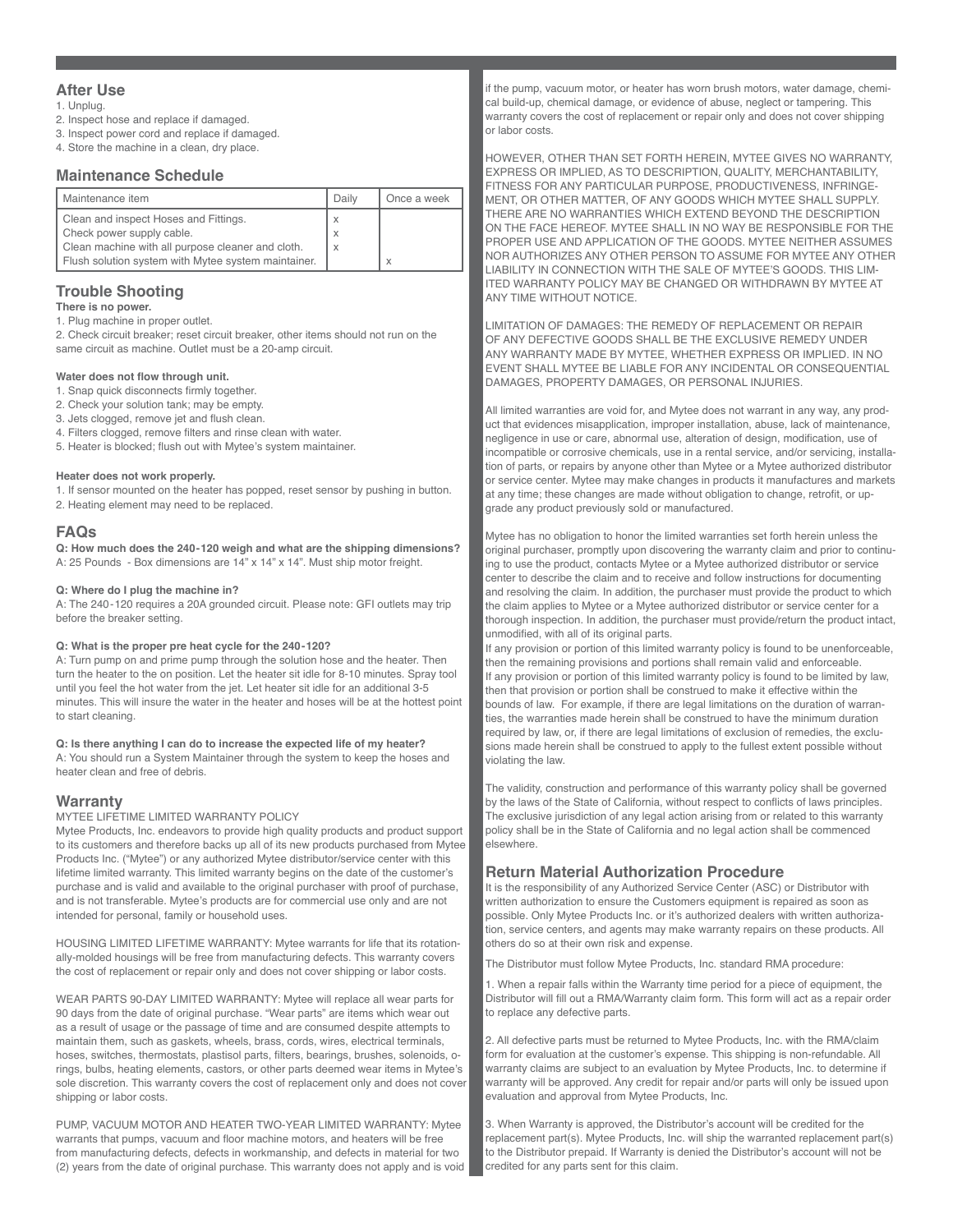#### **After Use**

- 1. Unplug.
- 2. Inspect hose and replace if damaged.
- 3. Inspect power cord and replace if damaged.
- 4. Store the machine in a clean, dry place.

#### **Maintenance Schedule**

| Maintenance item                                    | Daily | Once a week |
|-----------------------------------------------------|-------|-------------|
| Clean and inspect Hoses and Fittings.               |       |             |
| Check power supply cable.                           |       |             |
| Clean machine with all purpose cleaner and cloth.   |       |             |
| Flush solution system with Mytee system maintainer. |       |             |

### **Trouble Shooting**

**There is no power.**

1. Plug machine in proper outlet.

2. Check circuit breaker; reset circuit breaker, other items should not run on the same circuit as machine. Outlet must be a 20-amp circuit.

#### **Water does not flow through unit.**

- 1. Snap quick disconnects firmly together.
- 2. Check your solution tank; may be empty.
- 3. Jets clogged, remove jet and flush clean.
- 4. Filters clogged, remove filters and rinse clean with water.
- 5. Heater is blocked; flush out with Mytee's system maintainer.

#### **Heater does not work properly.**

- 1. If sensor mounted on the heater has popped, reset sensor by pushing in button.
- 2. Heating element may need to be replaced.

#### **FAQs**

**Q: How much does the 240-120 weigh and what are the shipping dimensions?** A: 25 Pounds - Box dimensions are 14" x 14" x 14". Must ship motor freight.

#### **Q: Where do I plug the machine in?**

A: The 240-120 requires a 20A grounded circuit. Please note: GFI outlets may trip before the breaker setting.

#### **Q: What is the proper pre heat cycle for the 240-120?**

A: Turn pump on and prime pump through the solution hose and the heater. Then turn the heater to the on position. Let the heater sit idle for 8-10 minutes. Spray tool until you feel the hot water from the jet. Let heater sit idle for an additional 3-5 minutes. This will insure the water in the heater and hoses will be at the hottest point to start cleaning.

#### **Q: Is there anything I can do to increase the expected life of my heater?**

A: You should run a System Maintainer through the system to keep the hoses and heater clean and free of debris.

#### **Warranty**

#### MYTEE LIFETIME LIMITED WARRANTY POLICY

Mytee Products, Inc. endeavors to provide high quality products and product support to its customers and therefore backs up all of its new products purchased from Mytee Products Inc. ("Mytee") or any authorized Mytee distributor/service center with this lifetime limited warranty. This limited warranty begins on the date of the customer's purchase and is valid and available to the original purchaser with proof of purchase, and is not transferable. Mytee's products are for commercial use only and are not intended for personal, family or household uses.

HOUSING LIMITED LIFETIME WARRANTY: Mytee warrants for life that its rotationally-molded housings will be free from manufacturing defects. This warranty covers the cost of replacement or repair only and does not cover shipping or labor costs.

WEAR PARTS 90-DAY LIMITED WARRANTY: Mytee will replace all wear parts for 90 days from the date of original purchase. "Wear parts" are items which wear out as a result of usage or the passage of time and are consumed despite attempts to maintain them, such as gaskets, wheels, brass, cords, wires, electrical terminals, hoses, switches, thermostats, plastisol parts, filters, bearings, brushes, solenoids, orings, bulbs, heating elements, castors, or other parts deemed wear items in Mytee's sole discretion. This warranty covers the cost of replacement only and does not cover shipping or labor costs.

PUMP, VACUUM MOTOR AND HEATER TWO-YEAR LIMITED WARRANTY: Mytee warrants that pumps, vacuum and floor machine motors, and heaters will be free from manufacturing defects, defects in workmanship, and defects in material for two (2) years from the date of original purchase. This warranty does not apply and is void if the pump, vacuum motor, or heater has worn brush motors, water damage, chemical build-up, chemical damage, or evidence of abuse, neglect or tampering. This warranty covers the cost of replacement or repair only and does not cover shipping or labor costs.

HOWEVER, OTHER THAN SET FORTH HEREIN, MYTEE GIVES NO WARRANTY, EXPRESS OR IMPLIED, AS TO DESCRIPTION, QUALITY, MERCHANTABILITY, FITNESS FOR ANY PARTICULAR PURPOSE, PRODUCTIVENESS, INFRINGE-MENT, OR OTHER MATTER, OF ANY GOODS WHICH MYTEE SHALL SUPPLY. THERE ARE NO WARRANTIES WHICH EXTEND BEYOND THE DESCRIPTION ON THE FACE HEREOF. MYTEE SHALL IN NO WAY BE RESPONSIBLE FOR THE PROPER USE AND APPLICATION OF THE GOODS. MYTEE NEITHER ASSUMES NOR AUTHORIZES ANY OTHER PERSON TO ASSUME FOR MYTEE ANY OTHER LIABILITY IN CONNECTION WITH THE SALE OF MYTEE'S GOODS. THIS LIM-ITED WARRANTY POLICY MAY BE CHANGED OR WITHDRAWN BY MYTEE AT ANY TIME WITHOUT NOTICE.

LIMITATION OF DAMAGES: THE REMEDY OF REPLACEMENT OR REPAIR OF ANY DEFECTIVE GOODS SHALL BE THE EXCLUSIVE REMEDY UNDER ANY WARRANTY MADE BY MYTEE, WHETHER EXPRESS OR IMPLIED. IN NO EVENT SHALL MYTEE BE LIABLE FOR ANY INCIDENTAL OR CONSEQUENTIAL DAMAGES, PROPERTY DAMAGES, OR PERSONAL INJURIES.

All limited warranties are void for, and Mytee does not warrant in any way, any product that evidences misapplication, improper installation, abuse, lack of maintenance, negligence in use or care, abnormal use, alteration of design, modification, use of incompatible or corrosive chemicals, use in a rental service, and/or servicing, installation of parts, or repairs by anyone other than Mytee or a Mytee authorized distributor or service center. Mytee may make changes in products it manufactures and markets at any time; these changes are made without obligation to change, retrofit, or upgrade any product previously sold or manufactured.

Mytee has no obligation to honor the limited warranties set forth herein unless the original purchaser, promptly upon discovering the warranty claim and prior to continuing to use the product, contacts Mytee or a Mytee authorized distributor or service center to describe the claim and to receive and follow instructions for documenting and resolving the claim. In addition, the purchaser must provide the product to which the claim applies to Mytee or a Mytee authorized distributor or service center for a thorough inspection. In addition, the purchaser must provide/return the product intact, unmodified, with all of its original parts.

If any provision or portion of this limited warranty policy is found to be unenforceable, then the remaining provisions and portions shall remain valid and enforceable. If any provision or portion of this limited warranty policy is found to be limited by law, then that provision or portion shall be construed to make it effective within the bounds of law. For example, if there are legal limitations on the duration of warranties, the warranties made herein shall be construed to have the minimum duration required by law, or, if there are legal limitations of exclusion of remedies, the exclusions made herein shall be construed to apply to the fullest extent possible without violating the law.

The validity, construction and performance of this warranty policy shall be governed by the laws of the State of California, without respect to conflicts of laws principles. The exclusive jurisdiction of any legal action arising from or related to this warranty policy shall be in the State of California and no legal action shall be commenced elsewhere.

#### **Return Material Authorization Procedure**

It is the responsibility of any Authorized Service Center (ASC) or Distributor with written authorization to ensure the Customers equipment is repaired as soon as possible. Only Mytee Products Inc. or it's authorized dealers with written authorization, service centers, and agents may make warranty repairs on these products. All others do so at their own risk and expense.

The Distributor must follow Mytee Products, Inc. standard RMA procedure:

1. When a repair falls within the Warranty time period for a piece of equipment, the Distributor will fill out a RMA/Warranty claim form. This form will act as a repair order to replace any defective parts.

2. All defective parts must be returned to Mytee Products, Inc. with the RMA/claim form for evaluation at the customer's expense. This shipping is non-refundable. All warranty claims are subject to an evaluation by Mytee Products, Inc. to determine if warranty will be approved. Any credit for repair and/or parts will only be issued upon evaluation and approval from Mytee Products, Inc.

3. When Warranty is approved, the Distributor's account will be credited for the replacement part(s). Mytee Products, Inc. will ship the warranted replacement part(s) to the Distributor prepaid. If Warranty is denied the Distributor's account will not be credited for any parts sent for this claim.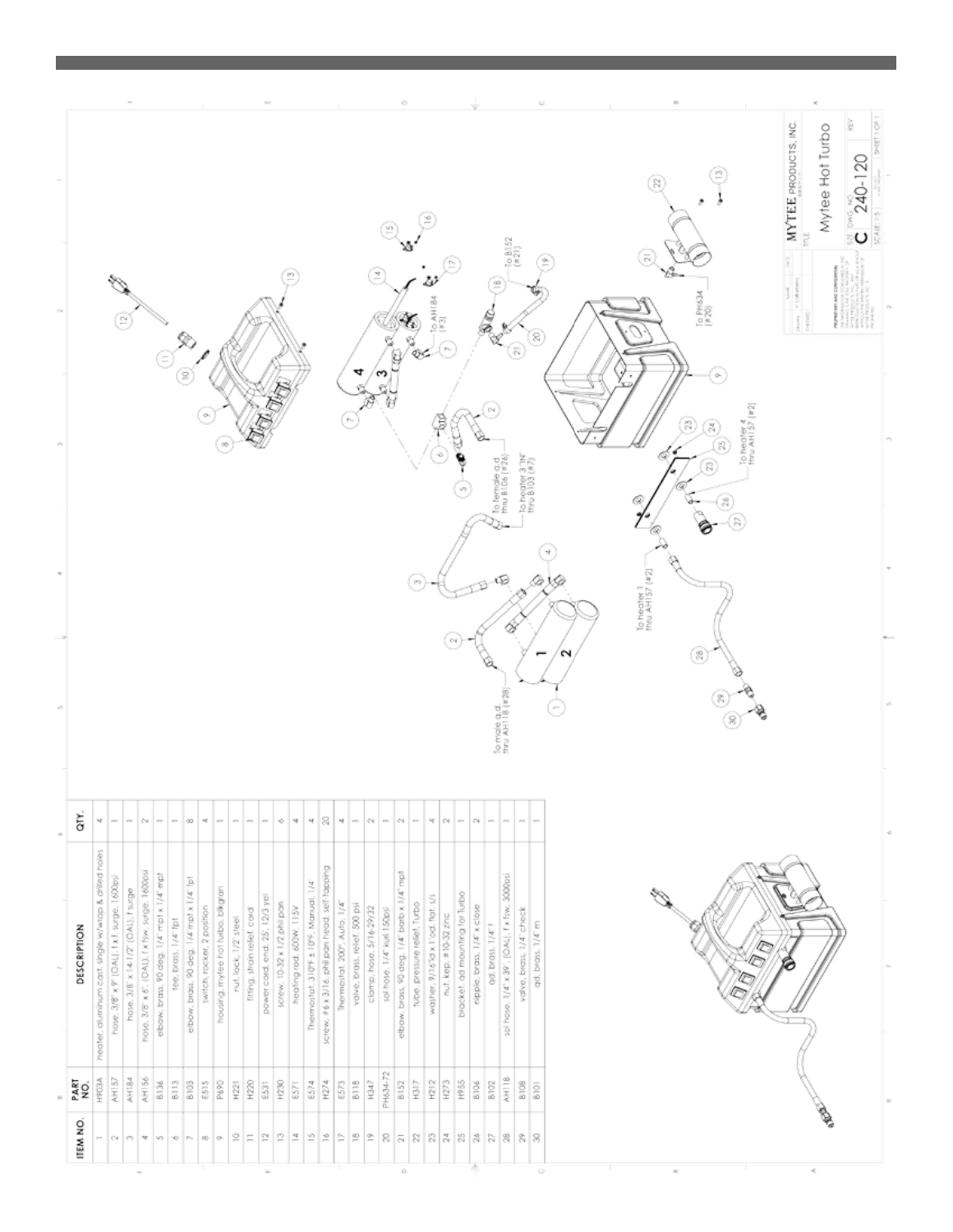